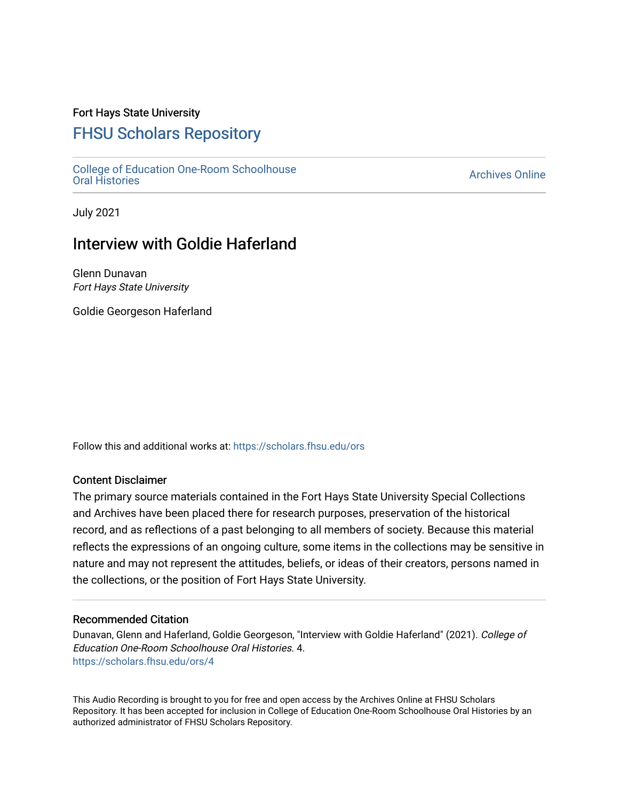## Fort Hays State University

# [FHSU Scholars Repository](https://scholars.fhsu.edu/)

[College of Education One-Room Schoolhouse](https://scholars.fhsu.edu/ors)<br>Oral Histories College of Education Orle-Room Schoolhouse<br>[Oral Histories](https://scholars.fhsu.edu/ors) Archives Online

July 2021

## Interview with Goldie Haferland

Glenn Dunavan Fort Hays State University

Goldie Georgeson Haferland

Follow this and additional works at: [https://scholars.fhsu.edu/ors](https://scholars.fhsu.edu/ors?utm_source=scholars.fhsu.edu%2Fors%2F4&utm_medium=PDF&utm_campaign=PDFCoverPages) 

#### Content Disclaimer

The primary source materials contained in the Fort Hays State University Special Collections and Archives have been placed there for research purposes, preservation of the historical record, and as reflections of a past belonging to all members of society. Because this material reflects the expressions of an ongoing culture, some items in the collections may be sensitive in nature and may not represent the attitudes, beliefs, or ideas of their creators, persons named in the collections, or the position of Fort Hays State University.

#### Recommended Citation

Dunavan, Glenn and Haferland, Goldie Georgeson, "Interview with Goldie Haferland" (2021). College of Education One-Room Schoolhouse Oral Histories. 4. [https://scholars.fhsu.edu/ors/4](https://scholars.fhsu.edu/ors/4?utm_source=scholars.fhsu.edu%2Fors%2F4&utm_medium=PDF&utm_campaign=PDFCoverPages) 

This Audio Recording is brought to you for free and open access by the Archives Online at FHSU Scholars Repository. It has been accepted for inclusion in College of Education One-Room Schoolhouse Oral Histories by an authorized administrator of FHSU Scholars Repository.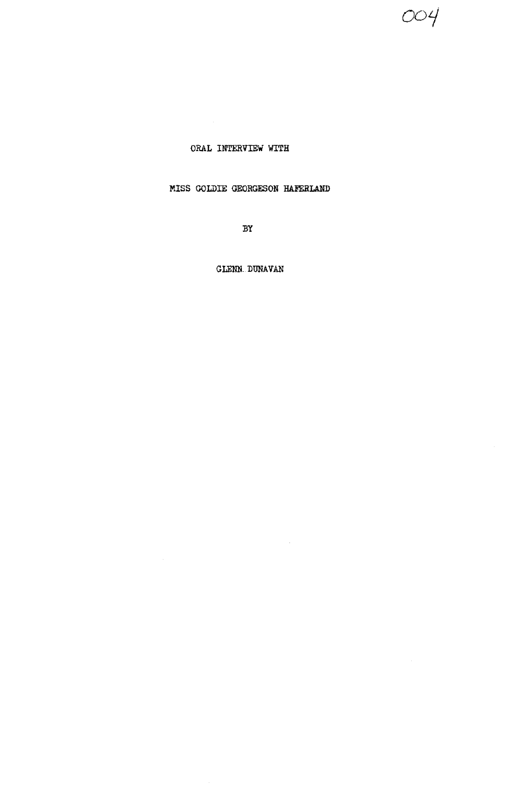004

## ORAL INTERVIEW WITH

## MISS GOLDIE GEORGESON HAFERLAND

 $BY$ 

GLENN DUNAVAN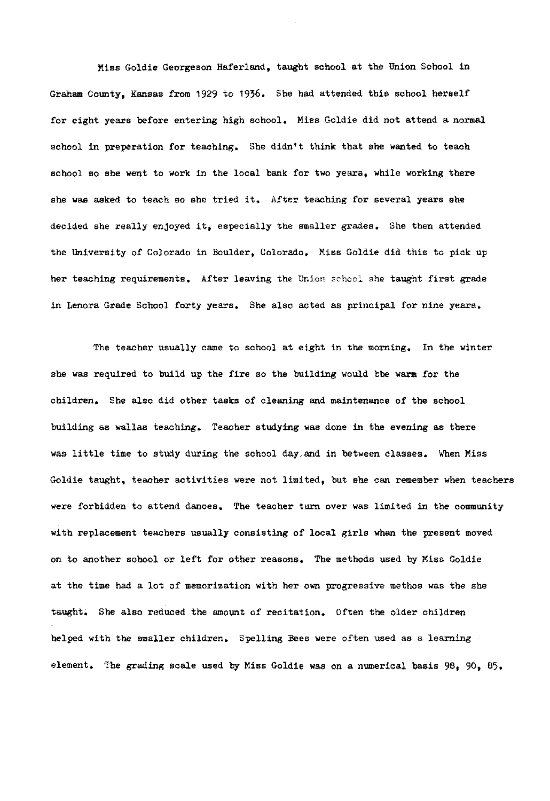Miss Goldie Georgeson Haferland, taught school at the Union School in Graham County, Kansas from 1929 to 1936. She had attended this school herself for eight years before entering high school. Miss Goldie did not attend a normal school in preperation for teaching. She didn't think that she wanted to teach school so she went to work in the local bank for two years, while working there she was asked to teach so she tried it. After teaching for several years she decided she really enjoyed it, especially the smaller grades. She then attended the University of Colorado in Boulder, Colorado. Miss Goldie did this to pick up her teaching requirements. After leaving the Union school she taught first grade in Lenora Grade School forty years. She also acted as principal for nine years.

The teacher usually came to school at eight in the morning. In the winter she **was** required to build up the fire so the building would bbe **warm** for the children. She also did other tasks of cleaning and maintenance of the school building as wallas teaching. Teacher studying was done in the evening as there was little time to study during the school day,and in between classes. When Miss Goldie taught, teacher activities were not limited, but she can remember when teachers were forbidden to attend dances. The teacher turn over was limited in the community with replacement teachers usually consisting of local girls whan the present moved on to another school or left for other reasons. The methods used by Miss Goldie at the time had a lot of memorization with her own progressive methos was the she taught; She also reduced the amount of recitation. Often the older children helped with the smaller children. Spelling Bees were often used as a learning element. The grading scale used by Miss Goldie was on a numerical basis 98, 90, 85.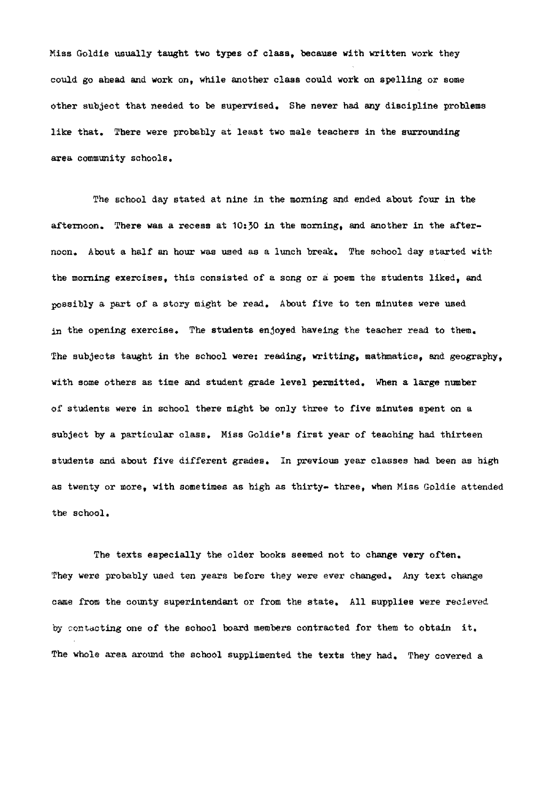Miss Goldie usually taught two types of class, because with written work they could go ahead and work on, while another class could work on spelling or some other subject that needed to be supervised. She never had any discipline problems like that. There were probably at least two male teachers in the surrounding area community schools.

The school day stated at nine in the morning and ended about four in the afternoon. There was a recess at  $10:50$  in the morning, and another in the afternoon. About a half an hour was used as a lunch break. The school day started with the morning exercises, this consisted of a song or a poem the students liked, and possibly a part of a story might be read. About five to ten minutes were used in the opening exercise. The students enjoyed haveing the teacher read to them. The subjects taught in the school were: reading, writting, mathmatics, and geography, with some others as time and student grade level permitted. When a large number of students were in school there might be only three to five minutes spent on a subject by a particular class. Miss Goldie's first year of teaching had thirteen students and about five different grades. In previous year classes had been as high as twenty or more, with sometimes as high as thirty- three, when Miss Goldie attended the school.

The texts especially the older books seemed not to change very often. They were probably used ten years before they were ever changed. Any text change came from the county superintendant or from the state. All supplies were recieved by contacting one of the school board members contracted for them to obtain it. The whole area around the school supplimented the texts they had. They covered a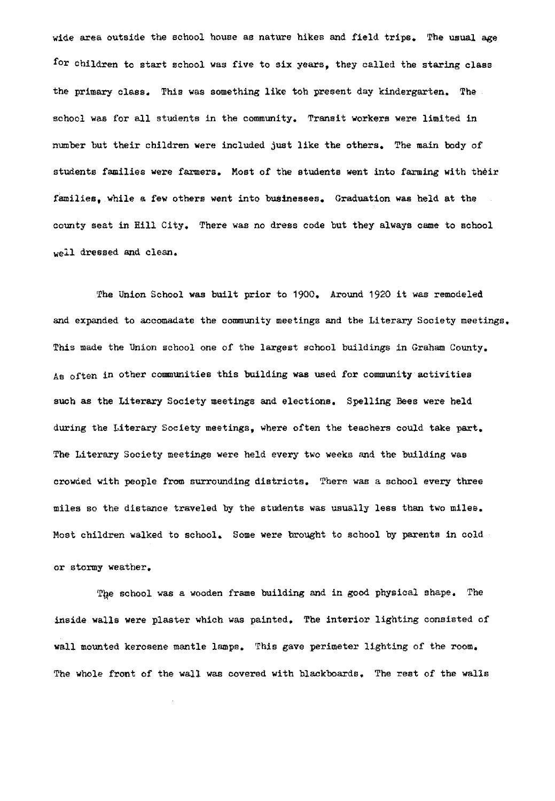wide area outside the school house as nature hikes and field trips. The usual age for children to start school was five to six years, they called the staring class the primary class. This was something like toh present day kindergarten. The school was for all students in the community. Transit workers were limited in number but their children were included just like the others. The main body of students families were farmers. Most of the students went into farming with their families, while a **few** others went into businesses. Graduation **was** held at the county seat in Hill City. There was no dress code but they always came to school well dressed and clean.

The Union School was built prior to 1900. Around 1920 it was remodeled and expanded to accomadate the community meetings and the Literary Society meetings. This made the Union school one of the largest school buildings in Graham County. As often in other communities this building was used for community activities such as the Literary Society meetings and elections. Spelling Bees were held during the Literary Society meetings, where often the teachers could take part. The Literary Society meetings were held every two weeks and the building was crowded with people from surrounding districts. There was a school every three miles so the distance traveled by the students was usually less than two miles. Most children walked to school. Some were brought to school by parents in cold or stormy weather.

The school was a wooden frame building and in good physical shape. The inside walls were plaster which was painted. The interior lighting consisted of wall mounted kerosene mantle lamps. This gave perimeter lighting of the room. The whole front of the wall was covered with blackboards. The rest of the walls